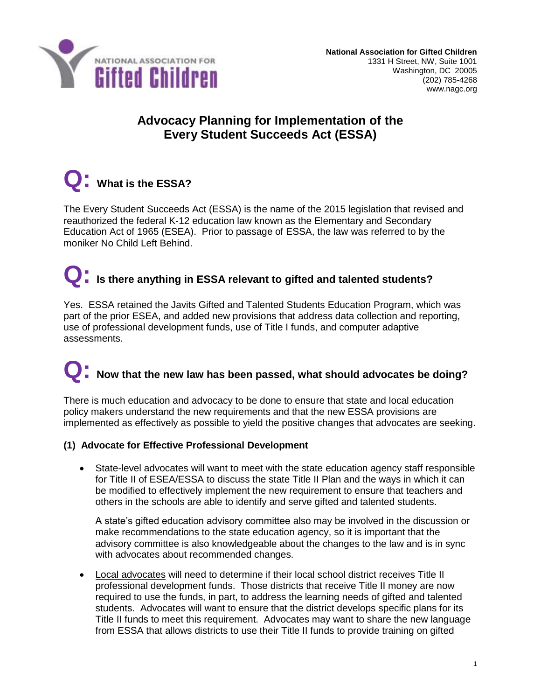

### **Advocacy Planning for Implementation of the Every Student Succeeds Act (ESSA)**

## **Q: What is the ESSA?**

The Every Student Succeeds Act (ESSA) is the name of the 2015 legislation that revised and reauthorized the federal K-12 education law known as the Elementary and Secondary Education Act of 1965 (ESEA). Prior to passage of ESSA, the law was referred to by the moniker No Child Left Behind.

### **Q: Is there anything in ESSA relevant to gifted and talented students?**

Yes. ESSA retained the Javits Gifted and Talented Students Education Program, which was part of the prior ESEA, and added new provisions that address data collection and reporting, use of professional development funds, use of Title I funds, and computer adaptive assessments.

# **Q: Now that the new law has been passed, what should advocates be doing?**

There is much education and advocacy to be done to ensure that state and local education policy makers understand the new requirements and that the new ESSA provisions are implemented as effectively as possible to yield the positive changes that advocates are seeking.

#### **(1) Advocate for Effective Professional Development**

 State-level advocates will want to meet with the state education agency staff responsible for Title II of ESEA/ESSA to discuss the state Title II Plan and the ways in which it can be modified to effectively implement the new requirement to ensure that teachers and others in the schools are able to identify and serve gifted and talented students.

A state's gifted education advisory committee also may be involved in the discussion or make recommendations to the state education agency, so it is important that the advisory committee is also knowledgeable about the changes to the law and is in sync with advocates about recommended changes.

 Local advocates will need to determine if their local school district receives Title II professional development funds. Those districts that receive Title II money are now required to use the funds, in part, to address the learning needs of gifted and talented students. Advocates will want to ensure that the district develops specific plans for its Title II funds to meet this requirement. Advocates may want to share the new language from ESSA that allows districts to use their Title II funds to provide training on gifted